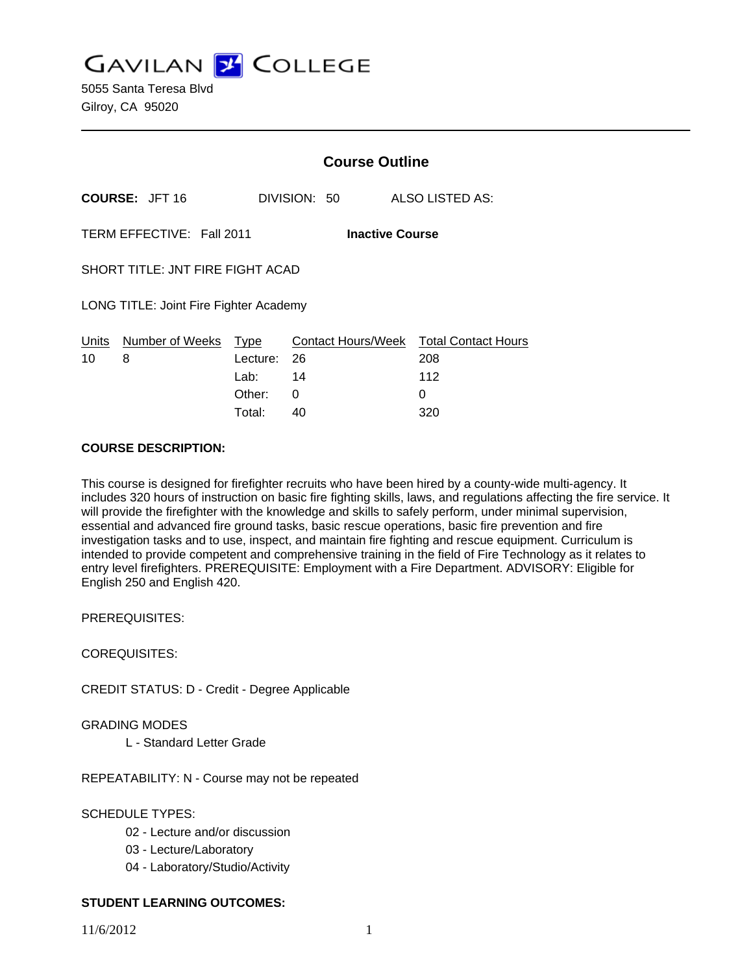**GAVILAN Z COLLEGE** 

5055 Santa Teresa Blvd Gilroy, CA 95020

|                                                     | <b>Course Outline</b> |                                  |                            |
|-----------------------------------------------------|-----------------------|----------------------------------|----------------------------|
| <b>COURSE: JFT 16</b>                               |                       | DIVISION: 50                     | ALSO LISTED AS:            |
| TERM EFFECTIVE: Fall 2011<br><b>Inactive Course</b> |                       |                                  |                            |
| SHORT TITLE: JNT FIRE FIGHT ACAD                    |                       |                                  |                            |
| LONG TITLE: Joint Fire Fighter Academy              |                       |                                  |                            |
| Units<br>Number of Weeks<br>8<br>10                 | Type<br>Lecture:      | <b>Contact Hours/Week</b><br>-26 | Total Contact Hours<br>208 |
|                                                     | Lab:                  | 14                               | 112                        |
|                                                     | Other:                | 0                                | O                          |

#### **COURSE DESCRIPTION:**

This course is designed for firefighter recruits who have been hired by a county-wide multi-agency. It includes 320 hours of instruction on basic fire fighting skills, laws, and regulations affecting the fire service. It will provide the firefighter with the knowledge and skills to safely perform, under minimal supervision, essential and advanced fire ground tasks, basic rescue operations, basic fire prevention and fire investigation tasks and to use, inspect, and maintain fire fighting and rescue equipment. Curriculum is intended to provide competent and comprehensive training in the field of Fire Technology as it relates to entry level firefighters. PREREQUISITE: Employment with a Fire Department. ADVISORY: Eligible for English 250 and English 420.

Total: 40 320

PREREQUISITES:

COREQUISITES:

CREDIT STATUS: D - Credit - Degree Applicable

GRADING MODES

L - Standard Letter Grade

REPEATABILITY: N - Course may not be repeated

SCHEDULE TYPES:

- 02 Lecture and/or discussion
- 03 Lecture/Laboratory
- 04 Laboratory/Studio/Activity

### **STUDENT LEARNING OUTCOMES:**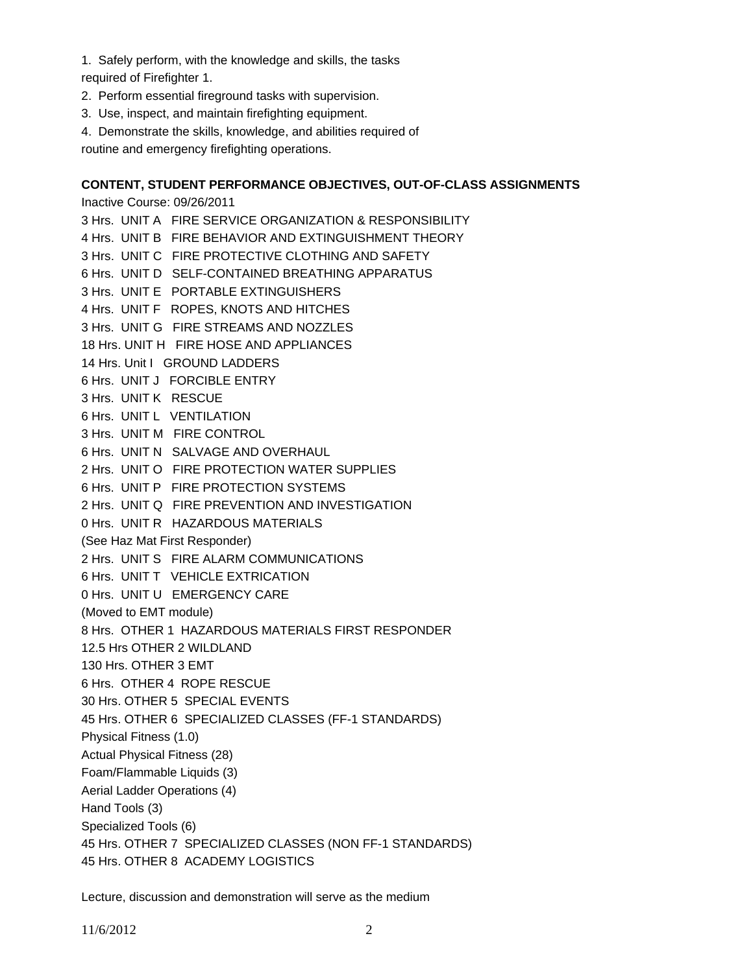1. Safely perform, with the knowledge and skills, the tasks

required of Firefighter 1.

- 2. Perform essential fireground tasks with supervision.
- 3. Use, inspect, and maintain firefighting equipment.
- 4. Demonstrate the skills, knowledge, and abilities required of

routine and emergency firefighting operations.

#### **CONTENT, STUDENT PERFORMANCE OBJECTIVES, OUT-OF-CLASS ASSIGNMENTS**

Inactive Course: 09/26/2011 3 Hrs. UNIT A FIRE SERVICE ORGANIZATION & RESPONSIBILITY 4 Hrs. UNIT B FIRE BEHAVIOR AND EXTINGUISHMENT THEORY 3 Hrs. UNIT C FIRE PROTECTIVE CLOTHING AND SAFETY 6 Hrs. UNIT D SELF-CONTAINED BREATHING APPARATUS 3 Hrs. UNIT E PORTABLE EXTINGUISHERS 4 Hrs. UNIT F ROPES, KNOTS AND HITCHES 3 Hrs. UNIT G FIRE STREAMS AND NOZZLES 18 Hrs. UNIT H FIRE HOSE AND APPLIANCES 14 Hrs. Unit I GROUND LADDERS 6 Hrs. UNIT J FORCIBLE ENTRY 3 Hrs. UNIT K RESCUE 6 Hrs. UNIT L VENTILATION 3 Hrs. UNIT M FIRE CONTROL 6 Hrs. UNIT N SALVAGE AND OVERHAUL 2 Hrs. UNIT O FIRE PROTECTION WATER SUPPLIES 6 Hrs. UNIT P FIRE PROTECTION SYSTEMS 2 Hrs. UNIT Q FIRE PREVENTION AND INVESTIGATION 0 Hrs. UNIT R HAZARDOUS MATERIALS (See Haz Mat First Responder) 2 Hrs. UNIT S FIRE ALARM COMMUNICATIONS 6 Hrs. UNIT T VEHICLE EXTRICATION 0 Hrs. UNIT U EMERGENCY CARE (Moved to EMT module) 8 Hrs. OTHER 1 HAZARDOUS MATERIALS FIRST RESPONDER 12.5 Hrs OTHER 2 WILDLAND 130 Hrs. OTHER 3 EMT 6 Hrs. OTHER 4 ROPE RESCUE 30 Hrs. OTHER 5 SPECIAL EVENTS 45 Hrs. OTHER 6 SPECIALIZED CLASSES (FF-1 STANDARDS) Physical Fitness (1.0) Actual Physical Fitness (28) Foam/Flammable Liquids (3) Aerial Ladder Operations (4) Hand Tools (3) Specialized Tools (6) 45 Hrs. OTHER 7 SPECIALIZED CLASSES (NON FF-1 STANDARDS) 45 Hrs. OTHER 8 ACADEMY LOGISTICS

Lecture, discussion and demonstration will serve as the medium